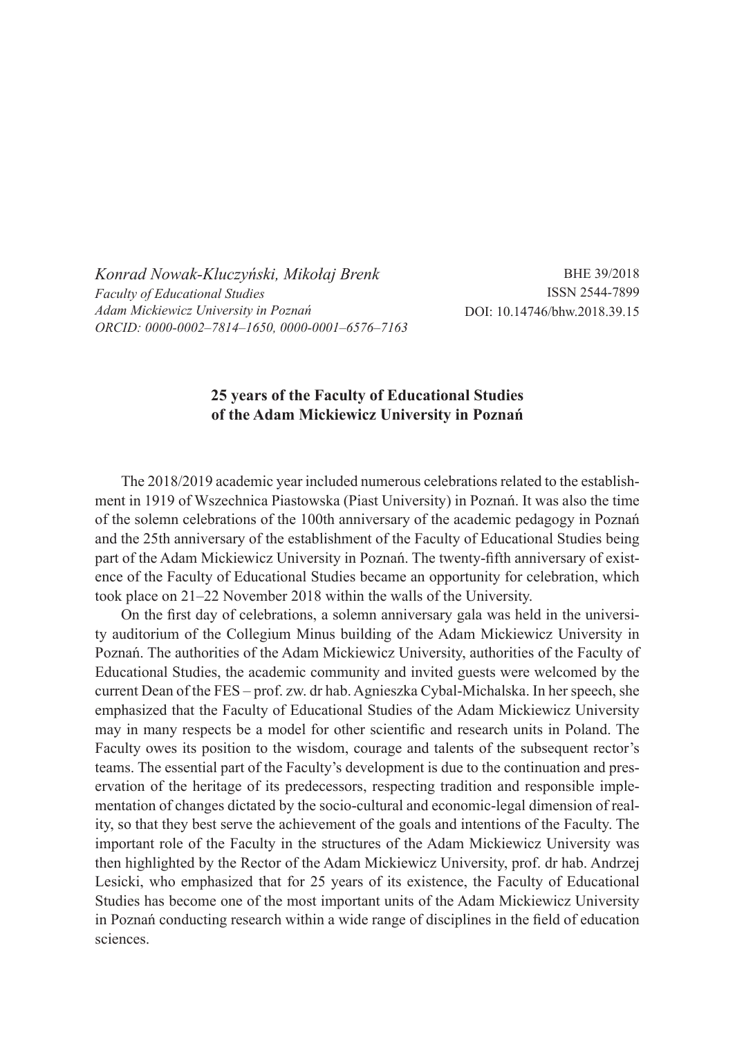*Konrad Nowak-Kluczyński, Mikołaj Brenk Faculty of Educational Studies Adam Mickiewicz University in Poznań ORCID: 0000-0002–7814–1650, 0000-0001–6576–7163*

BHE 39/2018 ISSN 2544-7899 DOI: 10.14746/bhw.2018.39.15

## **25 years of the Faculty of Educational Studies of the Adam Mickiewicz University in Poznań**

The 2018/2019 academic year included numerous celebrations related to the establishment in 1919 of Wszechnica Piastowska (Piast University) in Poznań. It was also the time of the solemn celebrations of the 100th anniversary of the academic pedagogy in Poznań and the 25th anniversary of the establishment of the Faculty of Educational Studies being part of the Adam Mickiewicz University in Poznań. The twenty-fifth anniversary of existence of the Faculty of Educational Studies became an opportunity for celebration, which took place on 21–22 November 2018 within the walls of the University.

On the first day of celebrations, a solemn anniversary gala was held in the university auditorium of the Collegium Minus building of the Adam Mickiewicz University in Poznań. The authorities of the Adam Mickiewicz University, authorities of the Faculty of Educational Studies, the academic community and invited guests were welcomed by the current Dean of the FES – prof. zw. dr hab. Agnieszka Cybal-Michalska. In her speech, she emphasized that the Faculty of Educational Studies of the Adam Mickiewicz University may in many respects be a model for other scientific and research units in Poland. The Faculty owes its position to the wisdom, courage and talents of the subsequent rector's teams. The essential part of the Faculty's development is due to the continuation and preservation of the heritage of its predecessors, respecting tradition and responsible implementation of changes dictated by the socio-cultural and economic-legal dimension of reality, so that they best serve the achievement of the goals and intentions of the Faculty. The important role of the Faculty in the structures of the Adam Mickiewicz University was then highlighted by the Rector of the Adam Mickiewicz University, prof. dr hab. Andrzej Lesicki, who emphasized that for 25 years of its existence, the Faculty of Educational Studies has become one of the most important units of the Adam Mickiewicz University in Poznań conducting research within a wide range of disciplines in the field of education sciences.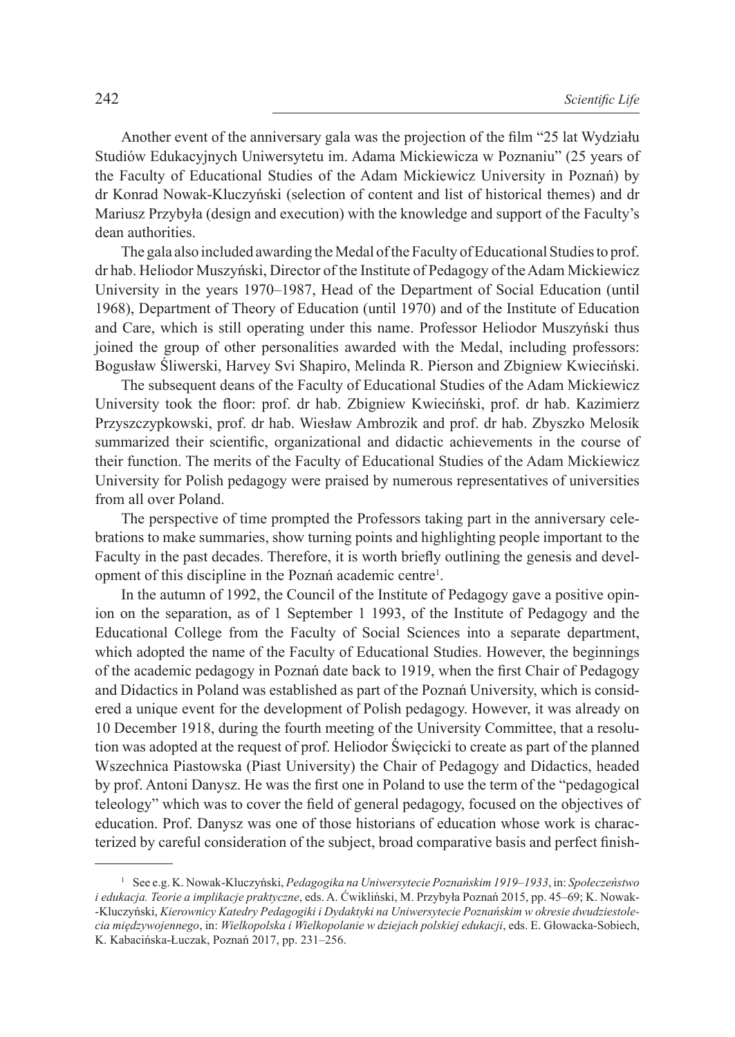Another event of the anniversary gala was the projection of the film "25 lat Wydziału Studiów Edukacyjnych Uniwersytetu im. Adama Mickiewicza w Poznaniu" (25 years of the Faculty of Educational Studies of the Adam Mickiewicz University in Poznań) by dr Konrad Nowak-Kluczyński (selection of content and list of historical themes) and dr Mariusz Przybyła (design and execution) with the knowledge and support of the Faculty's dean authorities.

The gala also included awarding the Medal of the Faculty of Educational Studies to prof. dr hab. Heliodor Muszyński, Director of the Institute of Pedagogy of the Adam Mickiewicz University in the years 1970–1987, Head of the Department of Social Education (until 1968), Department of Theory of Education (until 1970) and of the Institute of Education and Care, which is still operating under this name. Professor Heliodor Muszyński thus joined the group of other personalities awarded with the Medal, including professors: Bogusław Śliwerski, Harvey Svi Shapiro, Melinda R. Pierson and Zbigniew Kwieciński.

The subsequent deans of the Faculty of Educational Studies of the Adam Mickiewicz University took the floor: prof. dr hab. Zbigniew Kwieciński, prof. dr hab. Kazimierz Przyszczypkowski, prof. dr hab. Wiesław Ambrozik and prof. dr hab. Zbyszko Melosik summarized their scientific, organizational and didactic achievements in the course of their function. The merits of the Faculty of Educational Studies of the Adam Mickiewicz University for Polish pedagogy were praised by numerous representatives of universities from all over Poland.

The perspective of time prompted the Professors taking part in the anniversary celebrations to make summaries, show turning points and highlighting people important to the Faculty in the past decades. Therefore, it is worth briefly outlining the genesis and development of this discipline in the Poznań academic centre<sup>1</sup>.

In the autumn of 1992, the Council of the Institute of Pedagogy gave a positive opinion on the separation, as of 1 September 1 1993, of the Institute of Pedagogy and the Educational College from the Faculty of Social Sciences into a separate department, which adopted the name of the Faculty of Educational Studies. However, the beginnings of the academic pedagogy in Poznań date back to 1919, when the first Chair of Pedagogy and Didactics in Poland was established as part of the Poznań University, which is considered a unique event for the development of Polish pedagogy. However, it was already on 10 December 1918, during the fourth meeting of the University Committee, that a resolution was adopted at the request of prof. Heliodor Święcicki to create as part of the planned Wszechnica Piastowska (Piast University) the Chair of Pedagogy and Didactics, headed by prof. Antoni Danysz. He was the first one in Poland to use the term of the "pedagogical teleology" which was to cover the field of general pedagogy, focused on the objectives of education. Prof. Danysz was one of those historians of education whose work is characterized by careful consideration of the subject, broad comparative basis and perfect finish-

<sup>1</sup> See e.g. K. Nowak-Kluczyński, *Pedagogika na Uniwersytecie Poznańskim 1919–1933*, in: *Społeczeństwo i edukacja. Teorie a implikacje praktyczne*, eds. A. Ćwikliński, M. Przybyła Poznań 2015, pp. 45–69; K. Nowak- -Kluczyński, *Kierownicy Katedry Pedagogiki i Dydaktyki na Uniwersytecie Poznańskim w okresie dwudziestolecia międzywojennego*, in: *Wielkopolska i Wielkopolanie w dziejach polskiej edukacji*, eds. E. Głowacka-Sobiech, K. Kabacińska-Łuczak, Poznań 2017, pp. 231–256.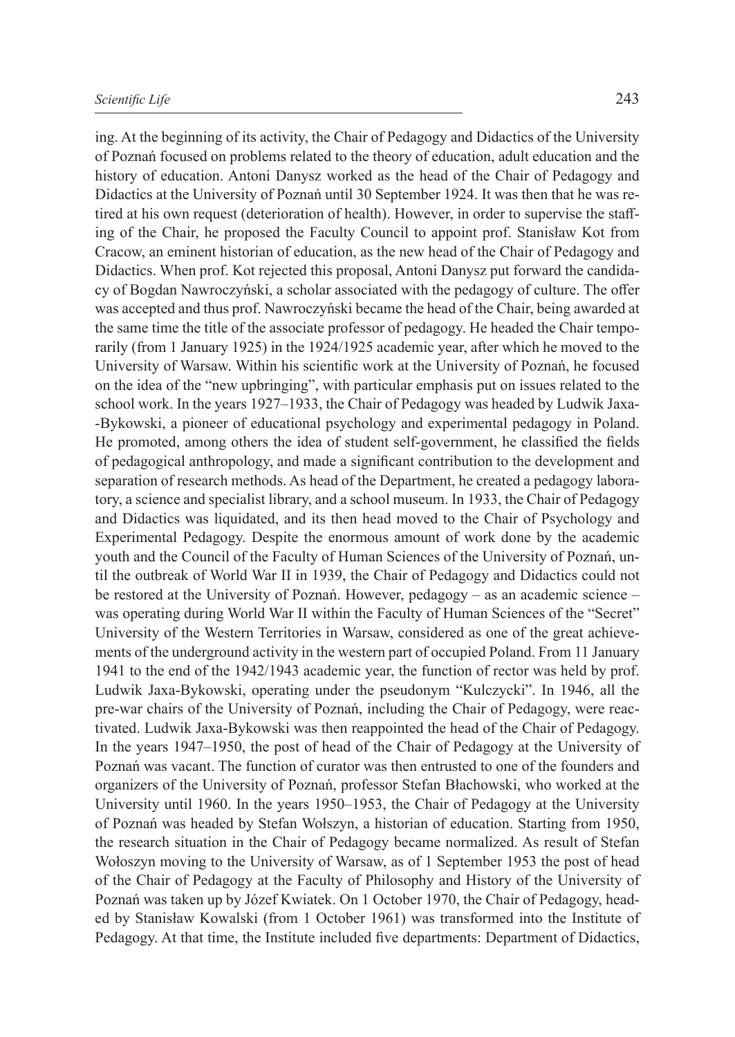ing. At the beginning of its activity, the Chair of Pedagogy and Didactics of the University of Poznań focused on problems related to the theory of education, adult education and the history of education. Antoni Danysz worked as the head of the Chair of Pedagogy and Didactics at the University of Poznań until 30 September 1924. It was then that he was retired at his own request (deterioration of health). However, in order to supervise the staffing of the Chair, he proposed the Faculty Council to appoint prof. Stanisław Kot from Cracow, an eminent historian of education, as the new head of the Chair of Pedagogy and Didactics. When prof. Kot rejected this proposal, Antoni Danysz put forward the candidacy of Bogdan Nawroczyński, a scholar associated with the pedagogy of culture. The offer was accepted and thus prof. Nawroczyński became the head of the Chair, being awarded at the same time the title of the associate professor of pedagogy. He headed the Chair temporarily (from 1 January 1925) in the 1924/1925 academic year, after which he moved to the University of Warsaw. Within his scientific work at the University of Poznań, he focused on the idea of the "new upbringing", with particular emphasis put on issues related to the school work. In the years 1927–1933, the Chair of Pedagogy was headed by Ludwik Jaxa- -Bykowski, a pioneer of educational psychology and experimental pedagogy in Poland. He promoted, among others the idea of student self-government, he classified the fields of pedagogical anthropology, and made a significant contribution to the development and separation of research methods. As head of the Department, he created a pedagogy laboratory, a science and specialist library, and a school museum. In 1933, the Chair of Pedagogy and Didactics was liquidated, and its then head moved to the Chair of Psychology and Experimental Pedagogy. Despite the enormous amount of work done by the academic youth and the Council of the Faculty of Human Sciences of the University of Poznań, until the outbreak of World War II in 1939, the Chair of Pedagogy and Didactics could not be restored at the University of Poznań. However, pedagogy – as an academic science – was operating during World War II within the Faculty of Human Sciences of the "Secret" University of the Western Territories in Warsaw, considered as one of the great achievements of the underground activity in the western part of occupied Poland. From 11 January 1941 to the end of the 1942/1943 academic year, the function of rector was held by prof. Ludwik Jaxa-Bykowski, operating under the pseudonym "Kulczycki". In 1946, all the pre-war chairs of the University of Poznań, including the Chair of Pedagogy, were reactivated. Ludwik Jaxa-Bykowski was then reappointed the head of the Chair of Pedagogy. In the years 1947–1950, the post of head of the Chair of Pedagogy at the University of Poznań was vacant. The function of curator was then entrusted to one of the founders and organizers of the University of Poznań, professor Stefan Błachowski, who worked at the University until 1960. In the years 1950–1953, the Chair of Pedagogy at the University of Poznań was headed by Stefan Wołszyn, a historian of education. Starting from 1950, the research situation in the Chair of Pedagogy became normalized. As result of Stefan Wołoszyn moving to the University of Warsaw, as of 1 September 1953 the post of head of the Chair of Pedagogy at the Faculty of Philosophy and History of the University of Poznań was taken up by Józef Kwiatek. On 1 October 1970, the Chair of Pedagogy, headed by Stanisław Kowalski (from 1 October 1961) was transformed into the Institute of Pedagogy. At that time, the Institute included five departments: Department of Didactics,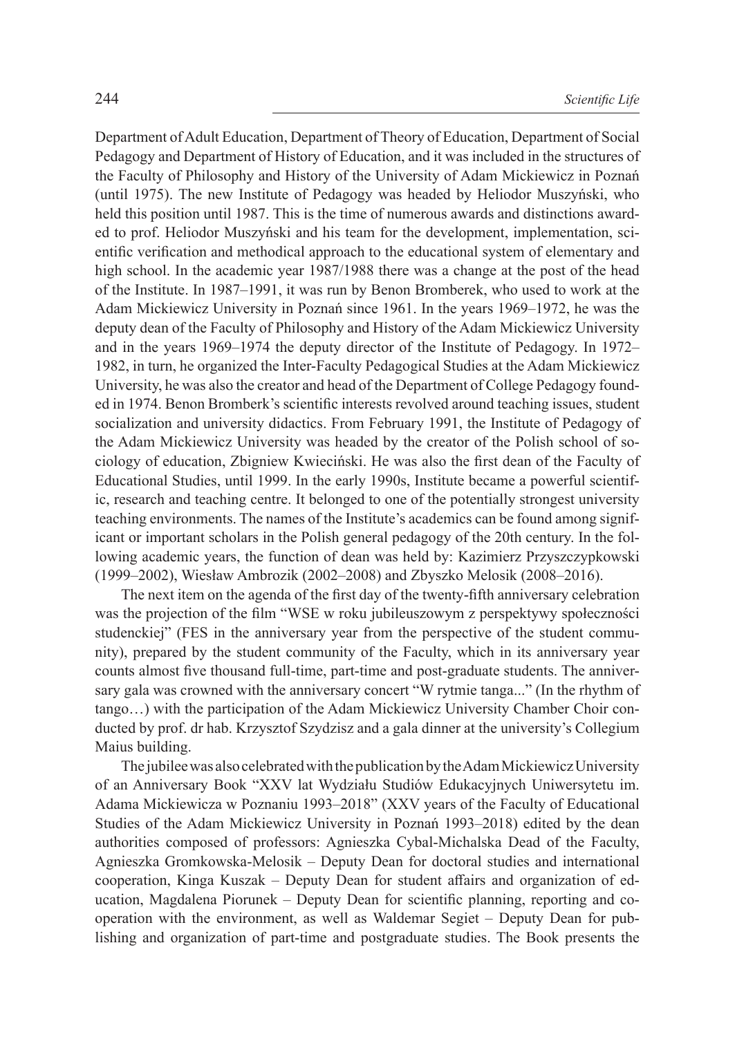Department of Adult Education, Department of Theory of Education, Department of Social Pedagogy and Department of History of Education, and it was included in the structures of the Faculty of Philosophy and History of the University of Adam Mickiewicz in Poznań (until 1975). The new Institute of Pedagogy was headed by Heliodor Muszyński, who held this position until 1987. This is the time of numerous awards and distinctions awarded to prof. Heliodor Muszyński and his team for the development, implementation, scientific verification and methodical approach to the educational system of elementary and high school. In the academic year 1987/1988 there was a change at the post of the head of the Institute. In 1987–1991, it was run by Benon Bromberek, who used to work at the Adam Mickiewicz University in Poznań since 1961. In the years 1969–1972, he was the deputy dean of the Faculty of Philosophy and History of the Adam Mickiewicz University and in the years 1969–1974 the deputy director of the Institute of Pedagogy. In 1972– 1982, in turn, he organized the Inter-Faculty Pedagogical Studies at the Adam Mickiewicz University, he was also the creator and head of the Department of College Pedagogy founded in 1974. Benon Bromberk's scientific interests revolved around teaching issues, student socialization and university didactics. From February 1991, the Institute of Pedagogy of the Adam Mickiewicz University was headed by the creator of the Polish school of sociology of education, Zbigniew Kwieciński. He was also the first dean of the Faculty of Educational Studies, until 1999. In the early 1990s, Institute became a powerful scientific, research and teaching centre. It belonged to one of the potentially strongest university teaching environments. The names of the Institute's academics can be found among significant or important scholars in the Polish general pedagogy of the 20th century. In the following academic years, the function of dean was held by: Kazimierz Przyszczypkowski (1999–2002), Wiesław Ambrozik (2002–2008) and Zbyszko Melosik (2008–2016).

The next item on the agenda of the first day of the twenty-fifth anniversary celebration was the projection of the film "WSE w roku jubileuszowym z perspektywy społeczności studenckiej" (FES in the anniversary year from the perspective of the student community), prepared by the student community of the Faculty, which in its anniversary year counts almost five thousand full-time, part-time and post-graduate students. The anniversary gala was crowned with the anniversary concert "W rytmie tanga..." (In the rhythm of tango…) with the participation of the Adam Mickiewicz University Chamber Choir conducted by prof. dr hab. Krzysztof Szydzisz and a gala dinner at the university's Collegium Maius building.

The jubilee was also celebrated with the publication by the Adam Mickiewicz University of an Anniversary Book "XXV lat Wydziału Studiów Edukacyjnych Uniwersytetu im. Adama Mickiewicza w Poznaniu 1993–2018" (XXV years of the Faculty of Educational Studies of the Adam Mickiewicz University in Poznań 1993–2018) edited by the dean authorities composed of professors: Agnieszka Cybal-Michalska Dead of the Faculty, Agnieszka Gromkowska-Melosik – Deputy Dean for doctoral studies and international cooperation, Kinga Kuszak – Deputy Dean for student affairs and organization of education, Magdalena Piorunek – Deputy Dean for scientific planning, reporting and cooperation with the environment, as well as Waldemar Segiet – Deputy Dean for publishing and organization of part-time and postgraduate studies. The Book presents the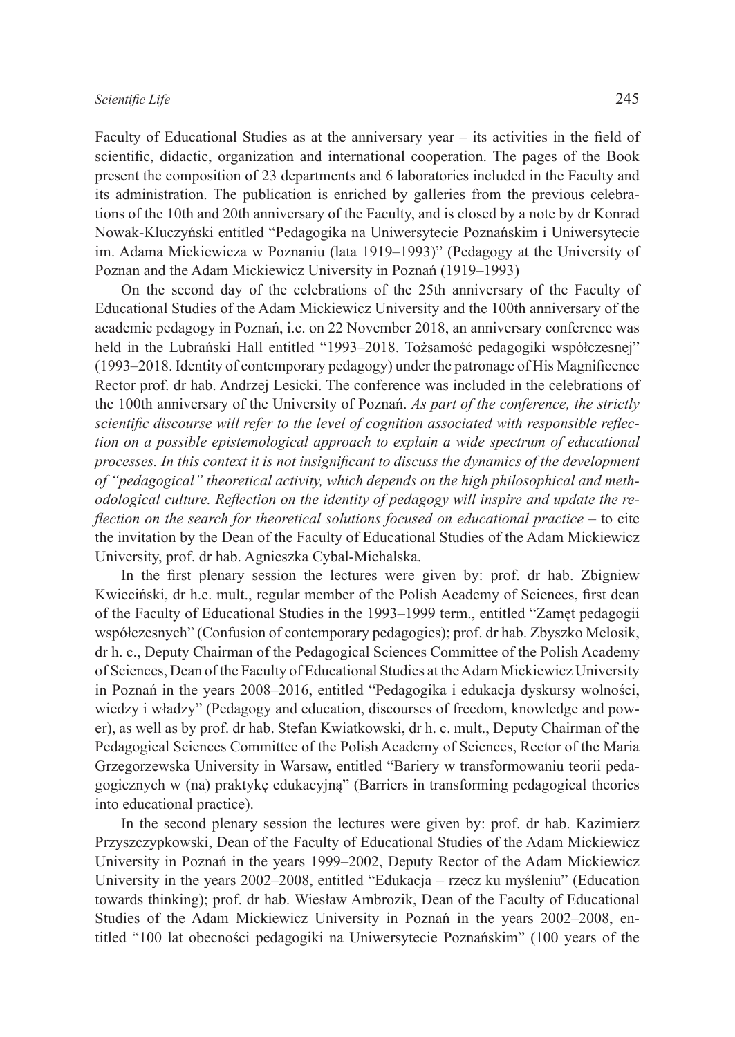Faculty of Educational Studies as at the anniversary year – its activities in the field of scientific, didactic, organization and international cooperation. The pages of the Book present the composition of 23 departments and 6 laboratories included in the Faculty and its administration. The publication is enriched by galleries from the previous celebrations of the 10th and 20th anniversary of the Faculty, and is closed by a note by dr Konrad Nowak-Kluczyński entitled "Pedagogika na Uniwersytecie Poznańskim i Uniwersytecie im. Adama Mickiewicza w Poznaniu (lata 1919–1993)" (Pedagogy at the University of Poznan and the Adam Mickiewicz University in Poznań (1919–1993)

On the second day of the celebrations of the 25th anniversary of the Faculty of Educational Studies of the Adam Mickiewicz University and the 100th anniversary of the academic pedagogy in Poznań, i.e. on 22 November 2018, an anniversary conference was held in the Lubrański Hall entitled "1993–2018. Tożsamość pedagogiki współczesnej" (1993–2018. Identity of contemporary pedagogy) under the patronage of His Magnificence Rector prof. dr hab. Andrzej Lesicki. The conference was included in the celebrations of the 100th anniversary of the University of Poznań. *As part of the conference, the strictly scientific discourse will refer to the level of cognition associated with responsible reflection on a possible epistemological approach to explain a wide spectrum of educational processes. In this context it is not insignificant to discuss the dynamics of the development of "pedagogical" theoretical activity, which depends on the high philosophical and methodological culture. Reflection on the identity of pedagogy will inspire and update the reflection on the search for theoretical solutions focused on educational practice –* to cite the invitation by the Dean of the Faculty of Educational Studies of the Adam Mickiewicz University, prof. dr hab. Agnieszka Cybal-Michalska.

In the first plenary session the lectures were given by: prof. dr hab. Zbigniew Kwieciński, dr h.c. mult., regular member of the Polish Academy of Sciences, first dean of the Faculty of Educational Studies in the 1993–1999 term., entitled "Zamęt pedagogii współczesnych" (Confusion of contemporary pedagogies); prof. dr hab. Zbyszko Melosik, dr h. c., Deputy Chairman of the Pedagogical Sciences Committee of the Polish Academy of Sciences, Dean of the Faculty of Educational Studies at the Adam Mickiewicz University in Poznań in the years 2008–2016, entitled "Pedagogika i edukacja dyskursy wolności, wiedzy i władzy" (Pedagogy and education, discourses of freedom, knowledge and power), as well as by prof. dr hab. Stefan Kwiatkowski, dr h. c. mult., Deputy Chairman of the Pedagogical Sciences Committee of the Polish Academy of Sciences, Rector of the Maria Grzegorzewska University in Warsaw, entitled "Bariery w transformowaniu teorii pedagogicznych w (na) praktykę edukacyjną" (Barriers in transforming pedagogical theories into educational practice).

In the second plenary session the lectures were given by: prof. dr hab. Kazimierz Przyszczypkowski, Dean of the Faculty of Educational Studies of the Adam Mickiewicz University in Poznań in the years 1999–2002, Deputy Rector of the Adam Mickiewicz University in the years 2002–2008, entitled "Edukacja – rzecz ku myśleniu" (Education towards thinking); prof. dr hab. Wiesław Ambrozik, Dean of the Faculty of Educational Studies of the Adam Mickiewicz University in Poznań in the years 2002–2008, entitled "100 lat obecności pedagogiki na Uniwersytecie Poznańskim" (100 years of the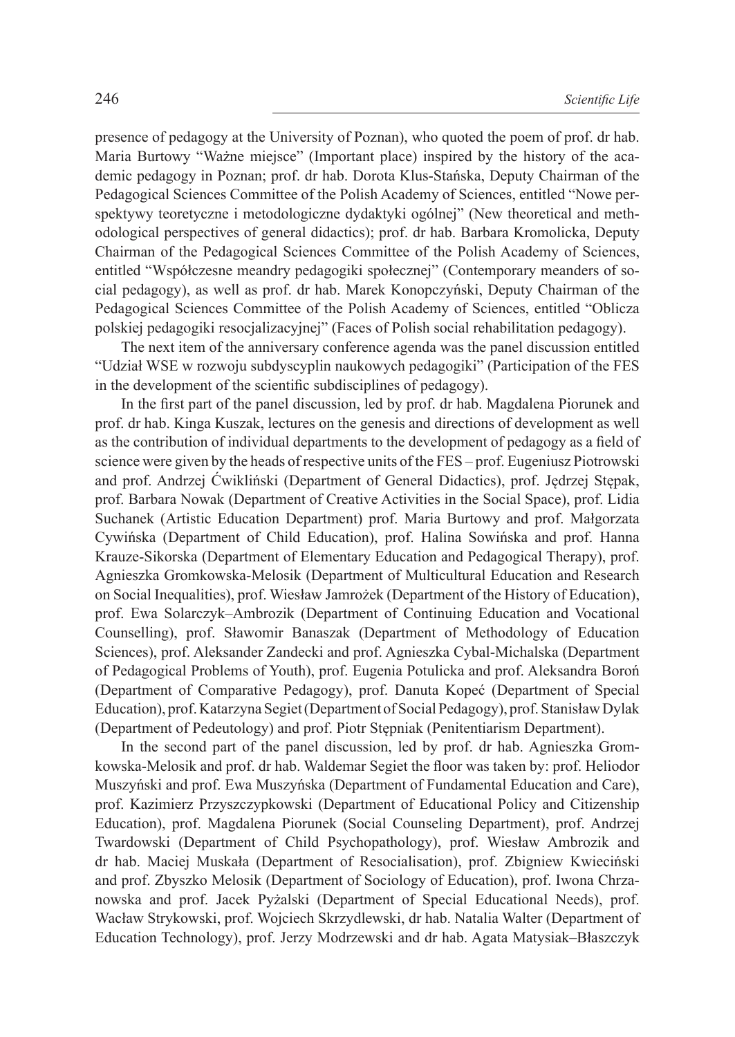presence of pedagogy at the University of Poznan), who quoted the poem of prof. dr hab. Maria Burtowy "Ważne miejsce" (Important place) inspired by the history of the academic pedagogy in Poznan; prof. dr hab. Dorota Klus-Stańska, Deputy Chairman of the Pedagogical Sciences Committee of the Polish Academy of Sciences, entitled "Nowe perspektywy teoretyczne i metodologiczne dydaktyki ogólnej" (New theoretical and methodological perspectives of general didactics); prof. dr hab. Barbara Kromolicka, Deputy Chairman of the Pedagogical Sciences Committee of the Polish Academy of Sciences, entitled "Współczesne meandry pedagogiki społecznej" (Contemporary meanders of social pedagogy), as well as prof. dr hab. Marek Konopczyński, Deputy Chairman of the Pedagogical Sciences Committee of the Polish Academy of Sciences, entitled "Oblicza polskiej pedagogiki resocjalizacyjnej" (Faces of Polish social rehabilitation pedagogy).

The next item of the anniversary conference agenda was the panel discussion entitled "Udział WSE w rozwoju subdyscyplin naukowych pedagogiki" (Participation of the FES in the development of the scientific subdisciplines of pedagogy).

In the first part of the panel discussion, led by prof. dr hab. Magdalena Piorunek and prof. dr hab. Kinga Kuszak, lectures on the genesis and directions of development as well as the contribution of individual departments to the development of pedagogy as a field of science were given by the heads of respective units of the FES – prof. Eugeniusz Piotrowski and prof. Andrzej Ćwikliński (Department of General Didactics), prof. Jędrzej Stępak, prof. Barbara Nowak (Department of Creative Activities in the Social Space), prof. Lidia Suchanek (Artistic Education Department) prof. Maria Burtowy and prof. Małgorzata Cywińska (Department of Child Education), prof. Halina Sowińska and prof. Hanna Krauze-Sikorska (Department of Elementary Education and Pedagogical Therapy), prof. Agnieszka Gromkowska-Melosik (Department of Multicultural Education and Research on Social Inequalities), prof. Wiesław Jamrożek (Department of the History of Education), prof. Ewa Solarczyk–Ambrozik (Department of Continuing Education and Vocational Counselling), prof. Sławomir Banaszak (Department of Methodology of Education Sciences), prof. Aleksander Zandecki and prof. Agnieszka Cybal-Michalska (Department of Pedagogical Problems of Youth), prof. Eugenia Potulicka and prof. Aleksandra Boroń (Department of Comparative Pedagogy), prof. Danuta Kopeć (Department of Special Education), prof. Katarzyna Segiet (Department of Social Pedagogy), prof. Stanisław Dylak (Department of Pedeutology) and prof. Piotr Stępniak (Penitentiarism Department).

In the second part of the panel discussion, led by prof. dr hab. Agnieszka Gromkowska-Melosik and prof. dr hab. Waldemar Segiet the floor was taken by: prof. Heliodor Muszyński and prof. Ewa Muszyńska (Department of Fundamental Education and Care), prof. Kazimierz Przyszczypkowski (Department of Educational Policy and Citizenship Education), prof. Magdalena Piorunek (Social Counseling Department), prof. Andrzej Twardowski (Department of Child Psychopathology), prof. Wiesław Ambrozik and dr hab. Maciej Muskała (Department of Resocialisation), prof. Zbigniew Kwieciński and prof. Zbyszko Melosik (Department of Sociology of Education), prof. Iwona Chrzanowska and prof. Jacek Pyżalski (Department of Special Educational Needs), prof. Wacław Strykowski, prof. Wojciech Skrzydlewski, dr hab. Natalia Walter (Department of Education Technology), prof. Jerzy Modrzewski and dr hab. Agata Matysiak–Błaszczyk